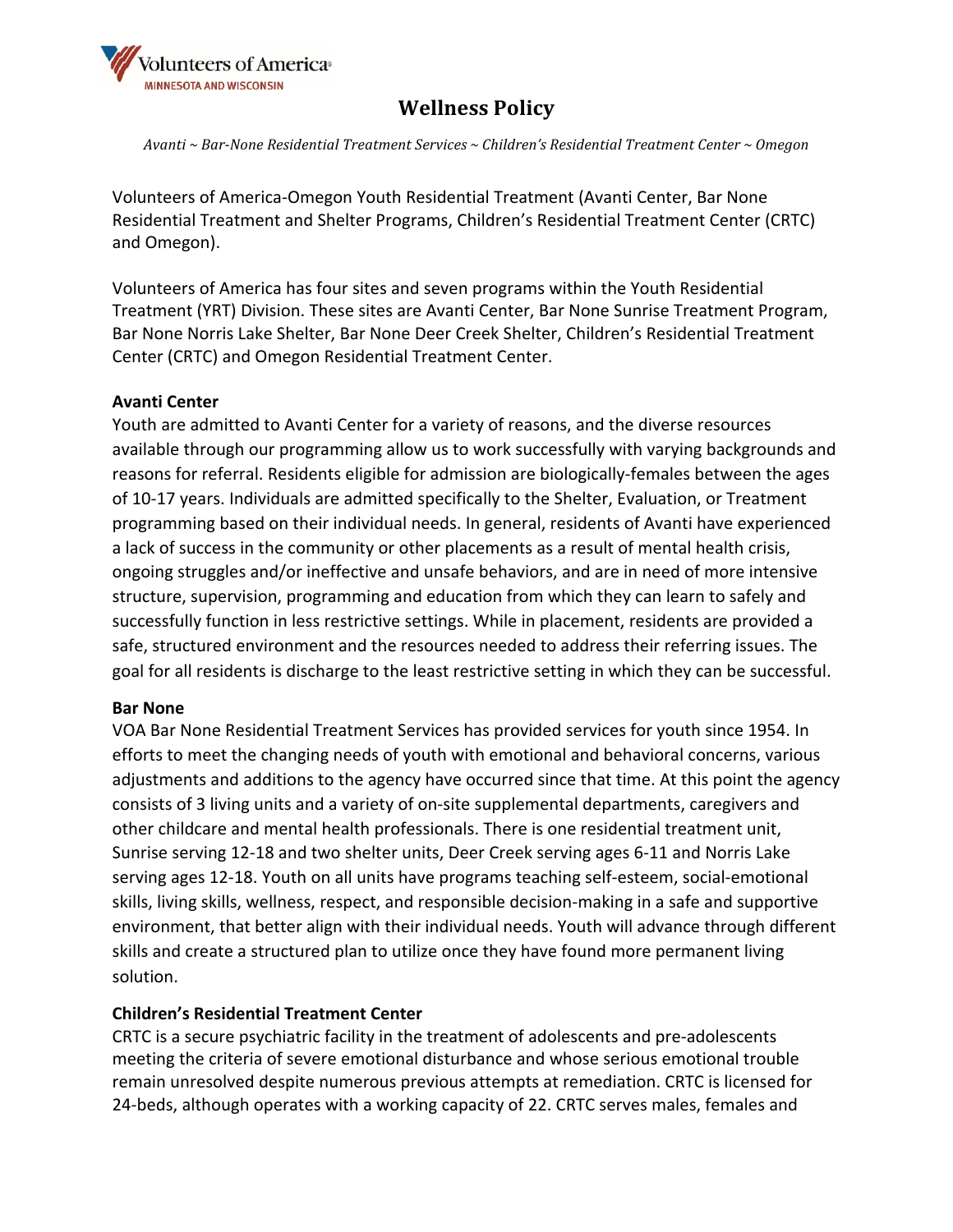

Avanti ~ Bar-None Residential Treatment Services ~ Children's Residential Treatment Center ~ Omegon

Volunteers of America-Omegon Youth Residential Treatment (Avanti Center, Bar None Residential Treatment and Shelter Programs, Children's Residential Treatment Center (CRTC) and Omegon).

Volunteers of America has four sites and seven programs within the Youth Residential Treatment (YRT) Division. These sites are Avanti Center, Bar None Sunrise Treatment Program, Bar None Norris Lake Shelter, Bar None Deer Creek Shelter, Children's Residential Treatment Center (CRTC) and Omegon Residential Treatment Center.

#### **Avanti Center**

Youth are admitted to Avanti Center for a variety of reasons, and the diverse resources available through our programming allow us to work successfully with varying backgrounds and reasons for referral. Residents eligible for admission are biologically-females between the ages of 10-17 years. Individuals are admitted specifically to the Shelter, Evaluation, or Treatment programming based on their individual needs. In general, residents of Avanti have experienced a lack of success in the community or other placements as a result of mental health crisis, ongoing struggles and/or ineffective and unsafe behaviors, and are in need of more intensive structure, supervision, programming and education from which they can learn to safely and successfully function in less restrictive settings. While in placement, residents are provided a safe, structured environment and the resources needed to address their referring issues. The goal for all residents is discharge to the least restrictive setting in which they can be successful.

#### **Bar None**

VOA Bar None Residential Treatment Services has provided services for youth since 1954. In efforts to meet the changing needs of youth with emotional and behavioral concerns, various adjustments and additions to the agency have occurred since that time. At this point the agency consists of 3 living units and a variety of on-site supplemental departments, caregivers and other childcare and mental health professionals. There is one residential treatment unit, Sunrise serving 12-18 and two shelter units, Deer Creek serving ages 6-11 and Norris Lake serving ages 12-18. Youth on all units have programs teaching self-esteem, social-emotional skills, living skills, wellness, respect, and responsible decision-making in a safe and supportive environment, that better align with their individual needs. Youth will advance through different skills and create a structured plan to utilize once they have found more permanent living solution.

#### **Children's Residential Treatment Center**

CRTC is a secure psychiatric facility in the treatment of adolescents and pre-adolescents meeting the criteria of severe emotional disturbance and whose serious emotional trouble remain unresolved despite numerous previous attempts at remediation. CRTC is licensed for 24-beds, although operates with a working capacity of 22. CRTC serves males, females and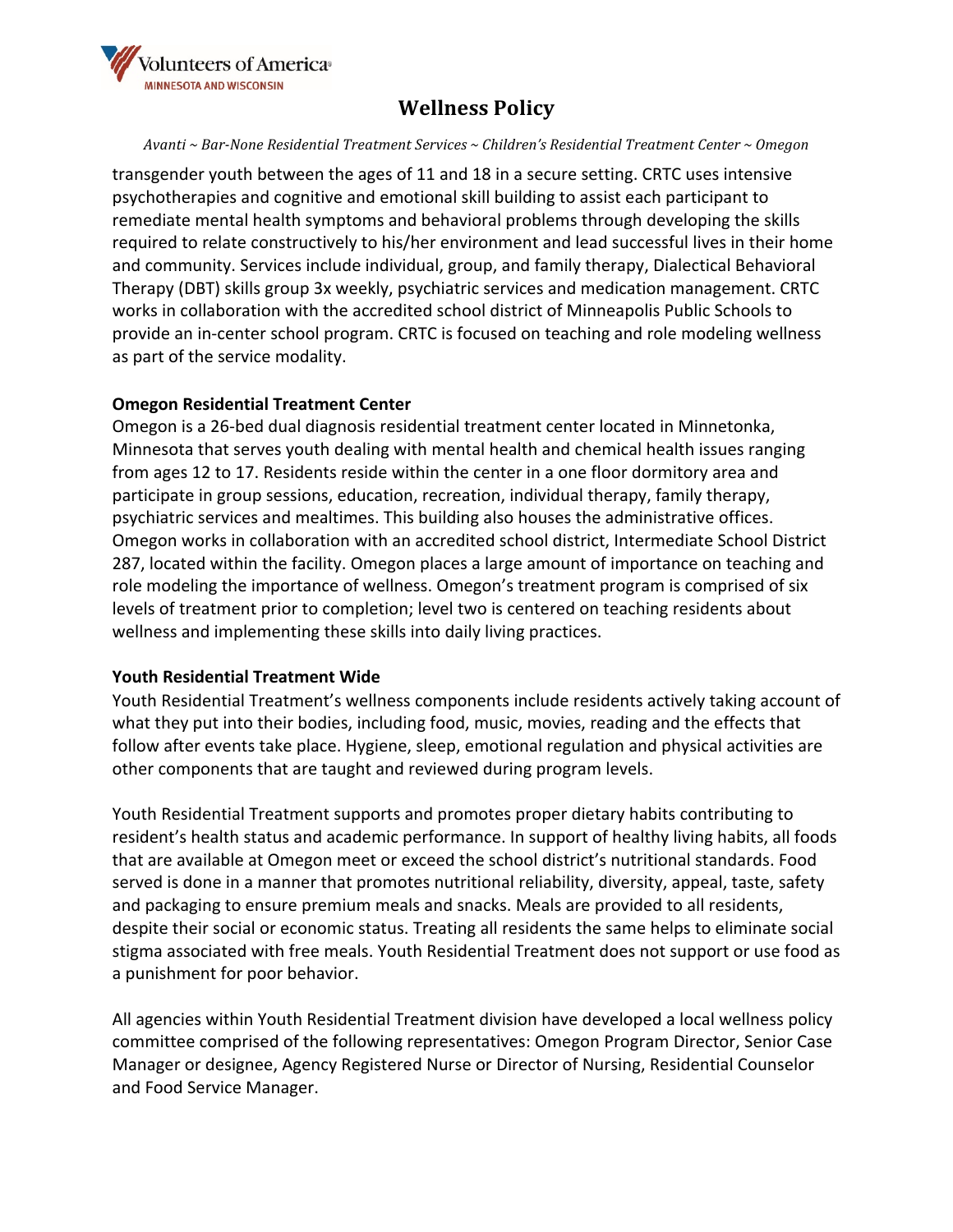

#### Avanti ~ Bar-None Residential Treatment Services ~ Children's Residential Treatment Center ~ Omegon

transgender youth between the ages of 11 and 18 in a secure setting. CRTC uses intensive psychotherapies and cognitive and emotional skill building to assist each participant to remediate mental health symptoms and behavioral problems through developing the skills required to relate constructively to his/her environment and lead successful lives in their home and community. Services include individual, group, and family therapy, Dialectical Behavioral Therapy (DBT) skills group 3x weekly, psychiatric services and medication management. CRTC works in collaboration with the accredited school district of Minneapolis Public Schools to provide an in-center school program. CRTC is focused on teaching and role modeling wellness as part of the service modality.

#### **Omegon Residential Treatment Center**

Omegon is a 26-bed dual diagnosis residential treatment center located in Minnetonka, Minnesota that serves youth dealing with mental health and chemical health issues ranging from ages 12 to 17. Residents reside within the center in a one floor dormitory area and participate in group sessions, education, recreation, individual therapy, family therapy, psychiatric services and mealtimes. This building also houses the administrative offices. Omegon works in collaboration with an accredited school district, Intermediate School District 287, located within the facility. Omegon places a large amount of importance on teaching and role modeling the importance of wellness. Omegon's treatment program is comprised of six levels of treatment prior to completion; level two is centered on teaching residents about wellness and implementing these skills into daily living practices.

#### **Youth Residential Treatment Wide**

Youth Residential Treatment's wellness components include residents actively taking account of what they put into their bodies, including food, music, movies, reading and the effects that follow after events take place. Hygiene, sleep, emotional regulation and physical activities are other components that are taught and reviewed during program levels.

Youth Residential Treatment supports and promotes proper dietary habits contributing to resident's health status and academic performance. In support of healthy living habits, all foods that are available at Omegon meet or exceed the school district's nutritional standards. Food served is done in a manner that promotes nutritional reliability, diversity, appeal, taste, safety and packaging to ensure premium meals and snacks. Meals are provided to all residents, despite their social or economic status. Treating all residents the same helps to eliminate social stigma associated with free meals. Youth Residential Treatment does not support or use food as a punishment for poor behavior.

All agencies within Youth Residential Treatment division have developed a local wellness policy committee comprised of the following representatives: Omegon Program Director, Senior Case Manager or designee, Agency Registered Nurse or Director of Nursing, Residential Counselor and Food Service Manager.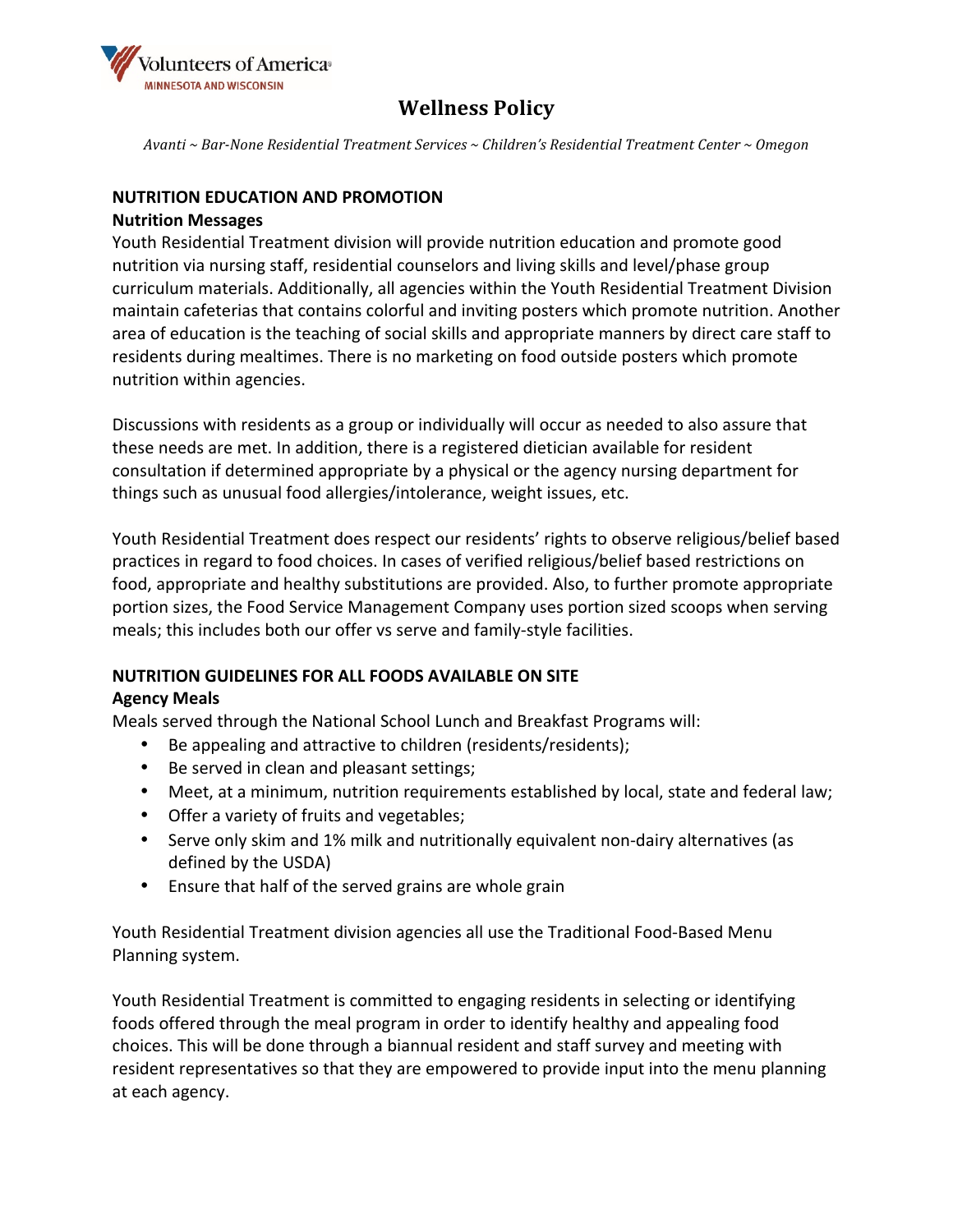

Avanti ~ Bar-None Residential Treatment Services ~ Children's Residential Treatment Center ~ Omegon

#### **NUTRITION EDUCATION AND PROMOTION**

#### **Nutrition Messages**

Youth Residential Treatment division will provide nutrition education and promote good nutrition via nursing staff, residential counselors and living skills and level/phase group curriculum materials. Additionally, all agencies within the Youth Residential Treatment Division maintain cafeterias that contains colorful and inviting posters which promote nutrition. Another area of education is the teaching of social skills and appropriate manners by direct care staff to residents during mealtimes. There is no marketing on food outside posters which promote nutrition within agencies.

Discussions with residents as a group or individually will occur as needed to also assure that these needs are met. In addition, there is a registered dietician available for resident consultation if determined appropriate by a physical or the agency nursing department for things such as unusual food allergies/intolerance, weight issues, etc.

Youth Residential Treatment does respect our residents' rights to observe religious/belief based practices in regard to food choices. In cases of verified religious/belief based restrictions on food, appropriate and healthy substitutions are provided. Also, to further promote appropriate portion sizes, the Food Service Management Company uses portion sized scoops when serving meals; this includes both our offer vs serve and family-style facilities.

#### **NUTRITION GUIDELINES FOR ALL FOODS AVAILABLE ON SITE**

#### **Agency Meals**

Meals served through the National School Lunch and Breakfast Programs will:

- Be appealing and attractive to children (residents/residents);
- Be served in clean and pleasant settings;
- Meet, at a minimum, nutrition requirements established by local, state and federal law;
- Offer a variety of fruits and vegetables;
- Serve only skim and 1% milk and nutritionally equivalent non-dairy alternatives (as defined by the USDA)
- Ensure that half of the served grains are whole grain

Youth Residential Treatment division agencies all use the Traditional Food-Based Menu Planning system.

Youth Residential Treatment is committed to engaging residents in selecting or identifying foods offered through the meal program in order to identify healthy and appealing food choices. This will be done through a biannual resident and staff survey and meeting with resident representatives so that they are empowered to provide input into the menu planning at each agency.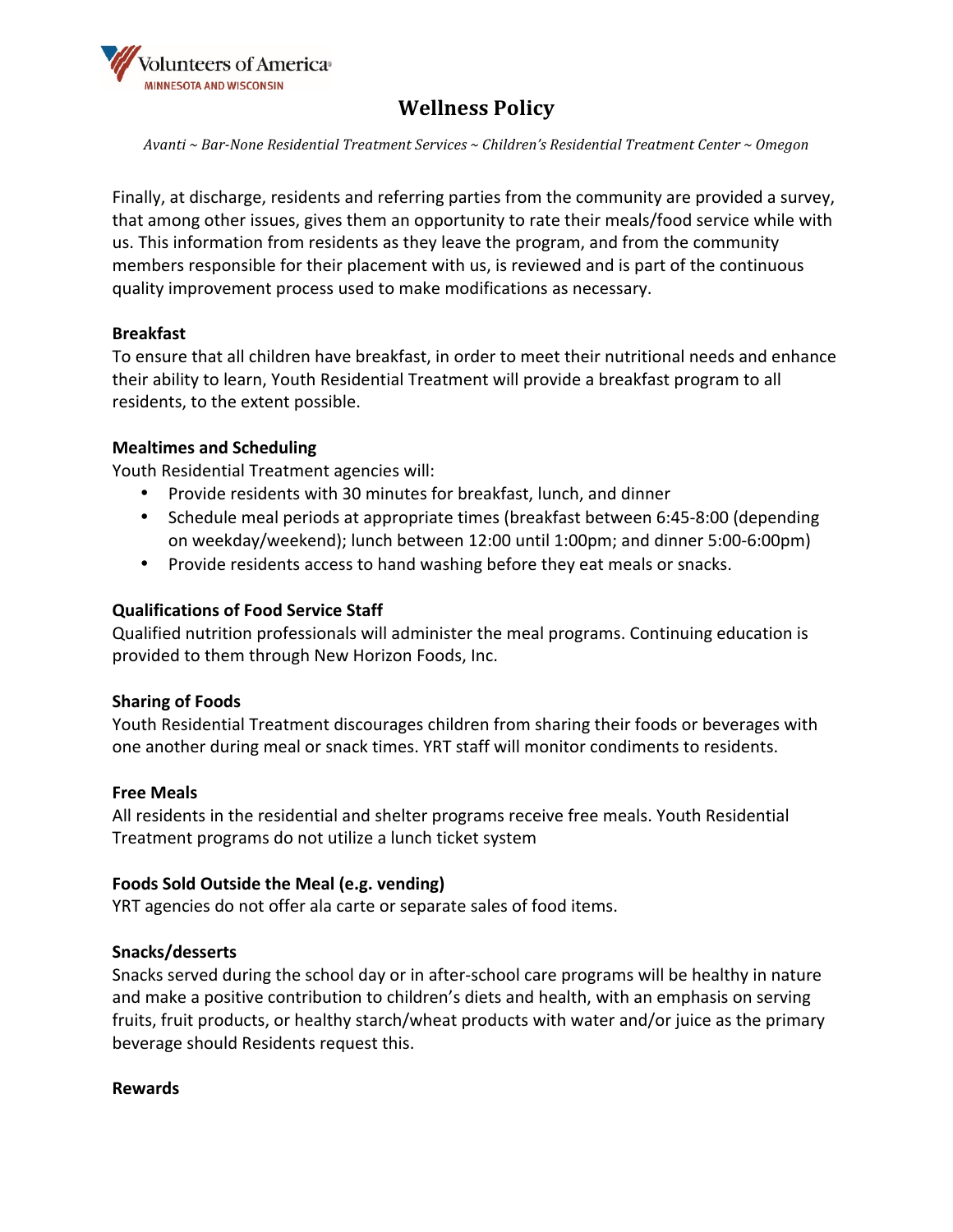

Avanti ~ Bar-None Residential Treatment Services ~ Children's Residential Treatment Center ~ Omegon

Finally, at discharge, residents and referring parties from the community are provided a survey, that among other issues, gives them an opportunity to rate their meals/food service while with us. This information from residents as they leave the program, and from the community members responsible for their placement with us, is reviewed and is part of the continuous quality improvement process used to make modifications as necessary.

#### **Breakfast**

To ensure that all children have breakfast, in order to meet their nutritional needs and enhance their ability to learn, Youth Residential Treatment will provide a breakfast program to all residents, to the extent possible.

#### **Mealtimes and Scheduling**

Youth Residential Treatment agencies will:

- Provide residents with 30 minutes for breakfast, lunch, and dinner
- Schedule meal periods at appropriate times (breakfast between 6:45-8:00 (depending on weekday/weekend); lunch between 12:00 until 1:00pm; and dinner 5:00-6:00pm)
- Provide residents access to hand washing before they eat meals or snacks.

### **Qualifications of Food Service Staff**

Qualified nutrition professionals will administer the meal programs. Continuing education is provided to them through New Horizon Foods, Inc.

#### **Sharing of Foods**

Youth Residential Treatment discourages children from sharing their foods or beverages with one another during meal or snack times. YRT staff will monitor condiments to residents.

#### **Free Meals**

All residents in the residential and shelter programs receive free meals. Youth Residential Treatment programs do not utilize a lunch ticket system

#### Foods Sold Outside the Meal (e.g. vending)

YRT agencies do not offer ala carte or separate sales of food items.

#### **Snacks/desserts**

Snacks served during the school day or in after-school care programs will be healthy in nature and make a positive contribution to children's diets and health, with an emphasis on serving fruits, fruit products, or healthy starch/wheat products with water and/or juice as the primary beverage should Residents request this.

**Rewards**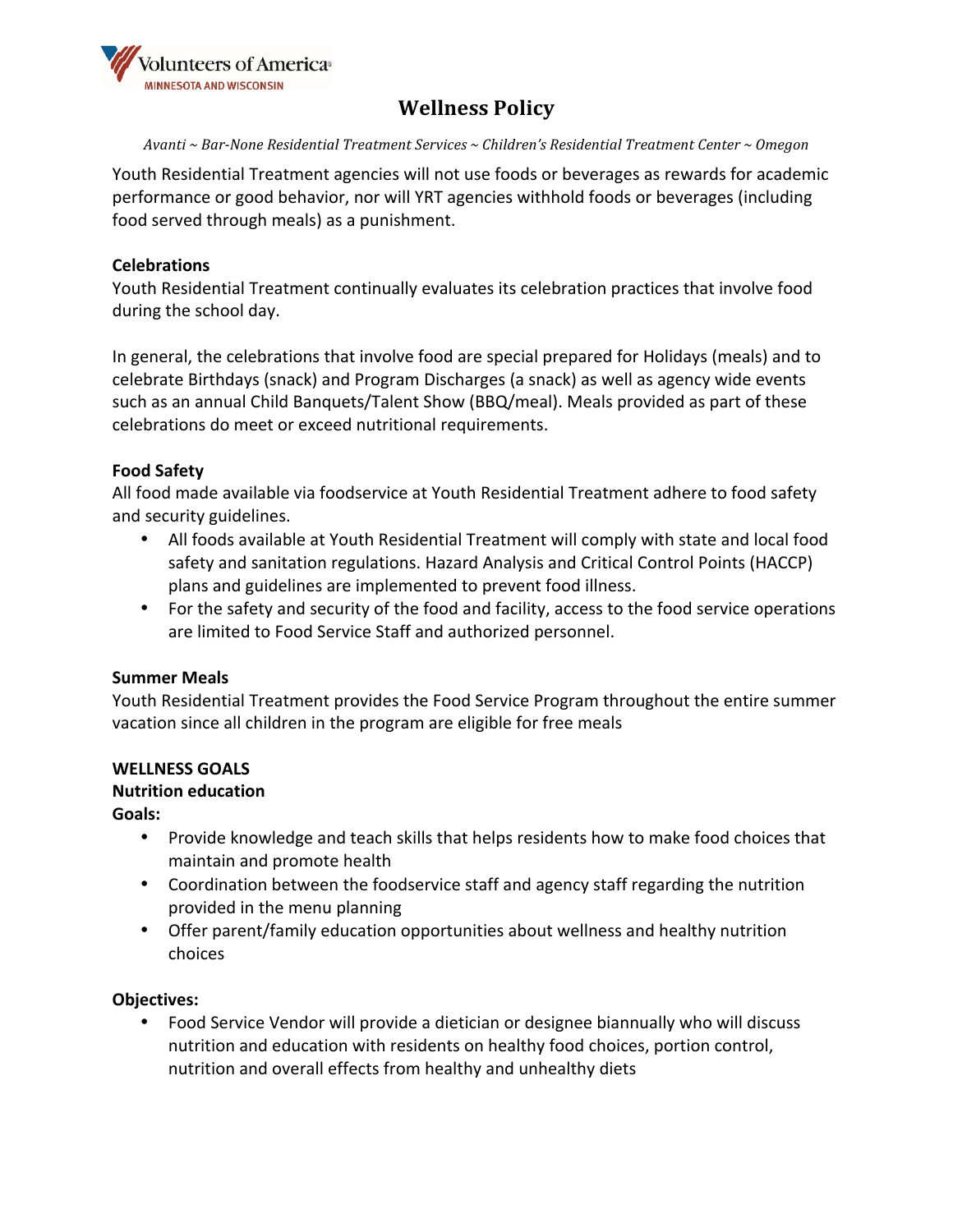

Avanti ~ Bar-None Residential Treatment Services ~ Children's Residential Treatment Center ~ Omegon

Youth Residential Treatment agencies will not use foods or beverages as rewards for academic performance or good behavior, nor will YRT agencies withhold foods or beverages (including food served through meals) as a punishment.

#### **Celebrations**

Youth Residential Treatment continually evaluates its celebration practices that involve food during the school day.

In general, the celebrations that involve food are special prepared for Holidays (meals) and to celebrate Birthdays (snack) and Program Discharges (a snack) as well as agency wide events such as an annual Child Banquets/Talent Show (BBQ/meal). Meals provided as part of these celebrations do meet or exceed nutritional requirements.

### **Food Safety**

All food made available via foodservice at Youth Residential Treatment adhere to food safety and security guidelines.

- All foods available at Youth Residential Treatment will comply with state and local food safety and sanitation regulations. Hazard Analysis and Critical Control Points (HACCP) plans and guidelines are implemented to prevent food illness.
- For the safety and security of the food and facility, access to the food service operations are limited to Food Service Staff and authorized personnel.

#### **Summer Meals**

Youth Residential Treatment provides the Food Service Program throughout the entire summer vacation since all children in the program are eligible for free meals

### **WELLNESS GOALS**

#### **Nutrition education**

Goals:

- Provide knowledge and teach skills that helps residents how to make food choices that maintain and promote health
- Coordination between the foodservice staff and agency staff regarding the nutrition provided in the menu planning
- Offer parent/family education opportunities about wellness and healthy nutrition choices

#### **Objectives:**

• Food Service Vendor will provide a dietician or designee biannually who will discuss nutrition and education with residents on healthy food choices, portion control, nutrition and overall effects from healthy and unhealthy diets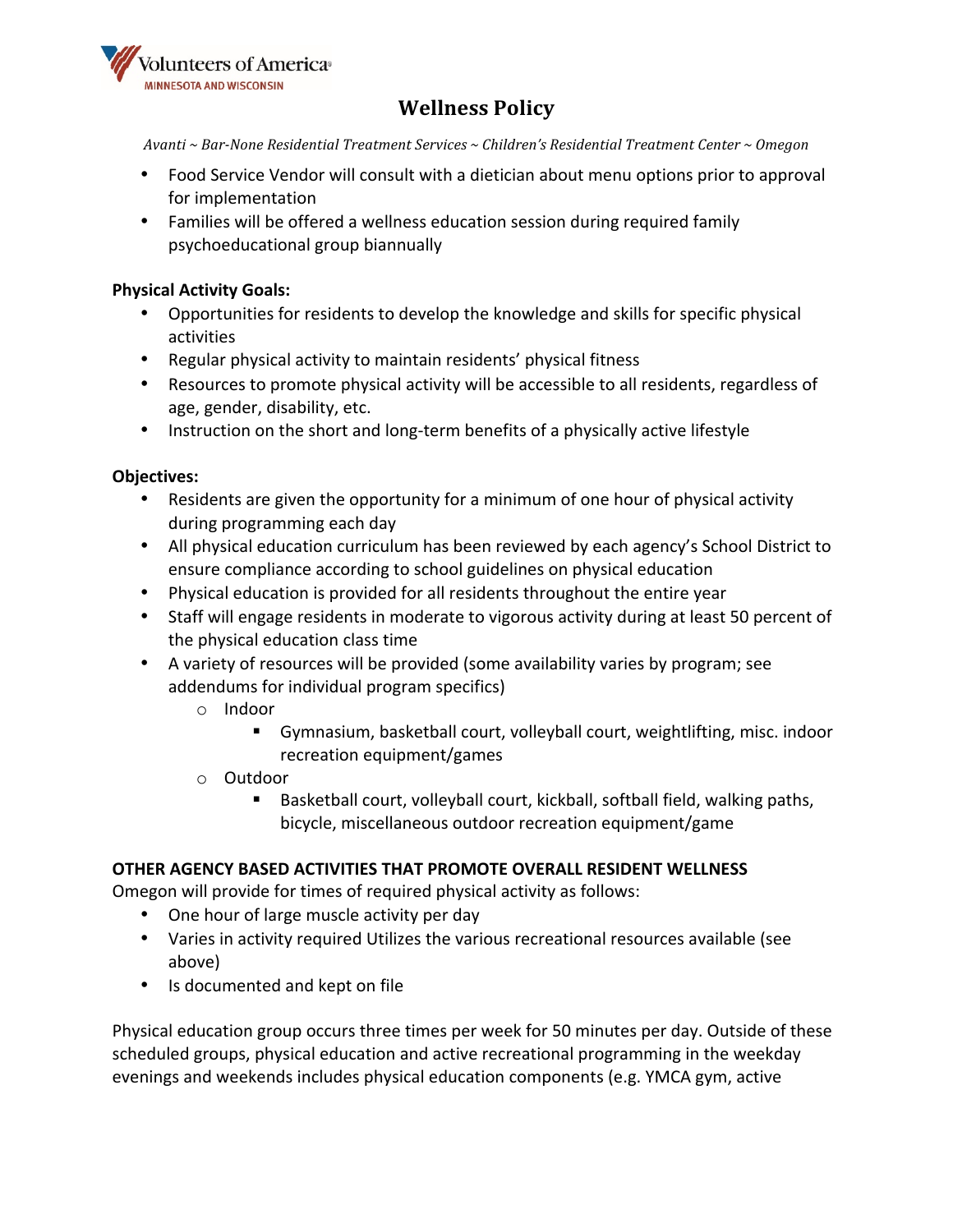

Avanti ~ Bar-None Residential Treatment Services ~ Children's Residential Treatment Center ~ Omegon

- Food Service Vendor will consult with a dietician about menu options prior to approval for implementation
- Families will be offered a wellness education session during required family psychoeducational group biannually

### **Physical Activity Goals:**

- Opportunities for residents to develop the knowledge and skills for specific physical activities
- Regular physical activity to maintain residents' physical fitness
- Resources to promote physical activity will be accessible to all residents, regardless of age, gender, disability, etc.
- Instruction on the short and long-term benefits of a physically active lifestyle

### **Objectives:**

- Residents are given the opportunity for a minimum of one hour of physical activity during programming each day
- All physical education curriculum has been reviewed by each agency's School District to ensure compliance according to school guidelines on physical education
- Physical education is provided for all residents throughout the entire year
- Staff will engage residents in moderate to vigorous activity during at least 50 percent of the physical education class time
- A variety of resources will be provided (some availability varies by program; see addendums for individual program specifics)
	- o Indoor
		- Gymnasium, basketball court, volleyball court, weightlifting, misc. indoor recreation equipment/games
	- o Outdoor
		- Basketball court, volleyball court, kickball, softball field, walking paths, bicycle, miscellaneous outdoor recreation equipment/game

### **OTHER AGENCY BASED ACTIVITIES THAT PROMOTE OVERALL RESIDENT WELLNESS**

Omegon will provide for times of required physical activity as follows:

- One hour of large muscle activity per day
- Varies in activity required Utilizes the various recreational resources available (see above)
- Is documented and kept on file

Physical education group occurs three times per week for 50 minutes per day. Outside of these scheduled groups, physical education and active recreational programming in the weekday evenings and weekends includes physical education components (e.g. YMCA gym, active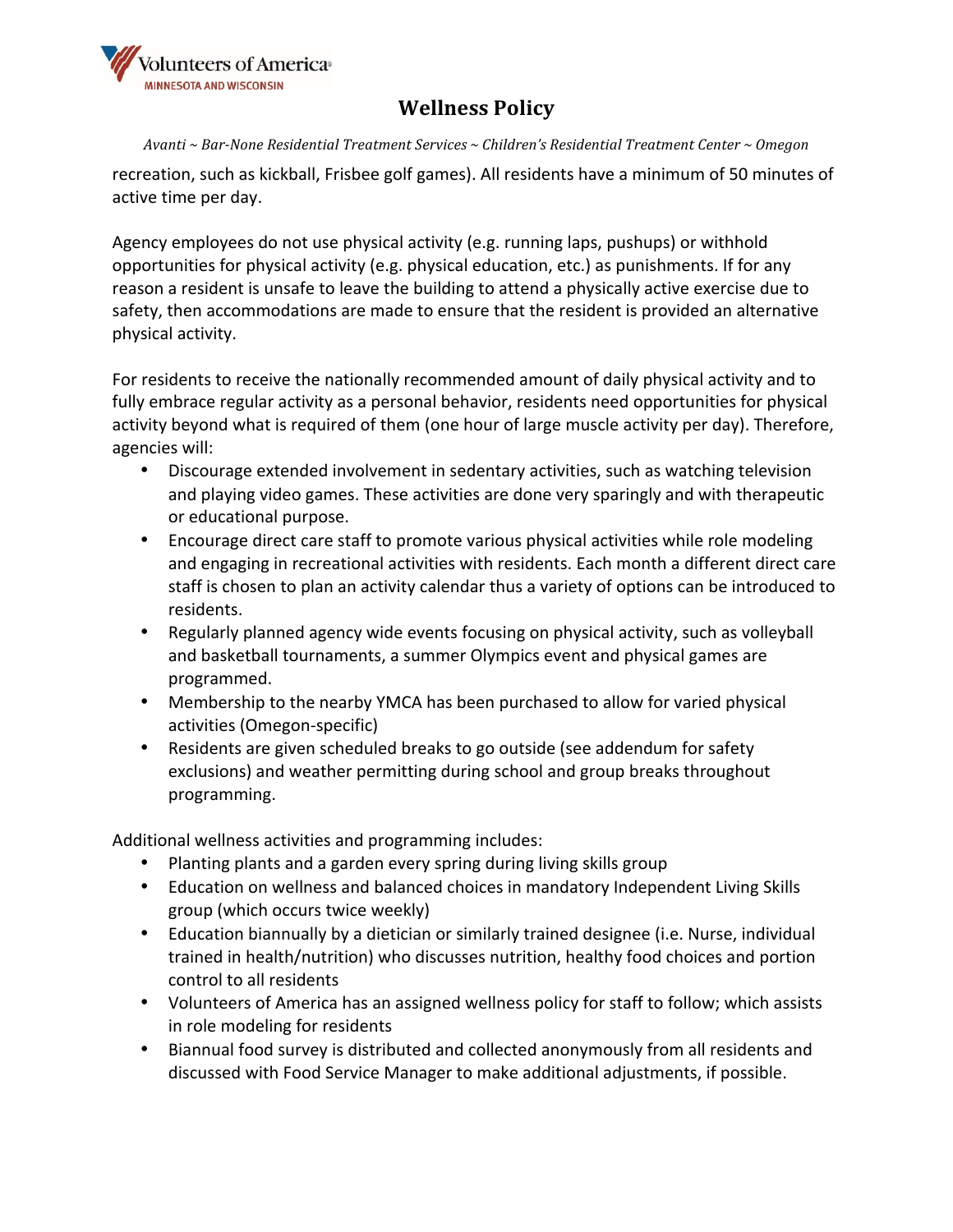

Avanti ~ Bar-None Residential Treatment Services ~ Children's Residential Treatment Center ~ Omegon

recreation, such as kickball, Frisbee golf games). All residents have a minimum of 50 minutes of active time per day.

Agency employees do not use physical activity (e.g. running laps, pushups) or withhold opportunities for physical activity (e.g. physical education, etc.) as punishments. If for any reason a resident is unsafe to leave the building to attend a physically active exercise due to safety, then accommodations are made to ensure that the resident is provided an alternative physical activity. 

For residents to receive the nationally recommended amount of daily physical activity and to fully embrace regular activity as a personal behavior, residents need opportunities for physical activity beyond what is required of them (one hour of large muscle activity per day). Therefore, agencies will:

- Discourage extended involvement in sedentary activities, such as watching television and playing video games. These activities are done very sparingly and with therapeutic or educational purpose.
- Encourage direct care staff to promote various physical activities while role modeling and engaging in recreational activities with residents. Each month a different direct care staff is chosen to plan an activity calendar thus a variety of options can be introduced to residents.
- Regularly planned agency wide events focusing on physical activity, such as volleyball and basketball tournaments, a summer Olympics event and physical games are programmed.
- Membership to the nearby YMCA has been purchased to allow for varied physical activities (Omegon-specific)
- Residents are given scheduled breaks to go outside (see addendum for safety exclusions) and weather permitting during school and group breaks throughout programming.

Additional wellness activities and programming includes:

- Planting plants and a garden every spring during living skills group
- Education on wellness and balanced choices in mandatory Independent Living Skills group (which occurs twice weekly)
- Education biannually by a dietician or similarly trained designee (i.e. Nurse, individual trained in health/nutrition) who discusses nutrition, healthy food choices and portion control to all residents
- Volunteers of America has an assigned wellness policy for staff to follow; which assists in role modeling for residents
- Biannual food survey is distributed and collected anonymously from all residents and discussed with Food Service Manager to make additional adjustments, if possible.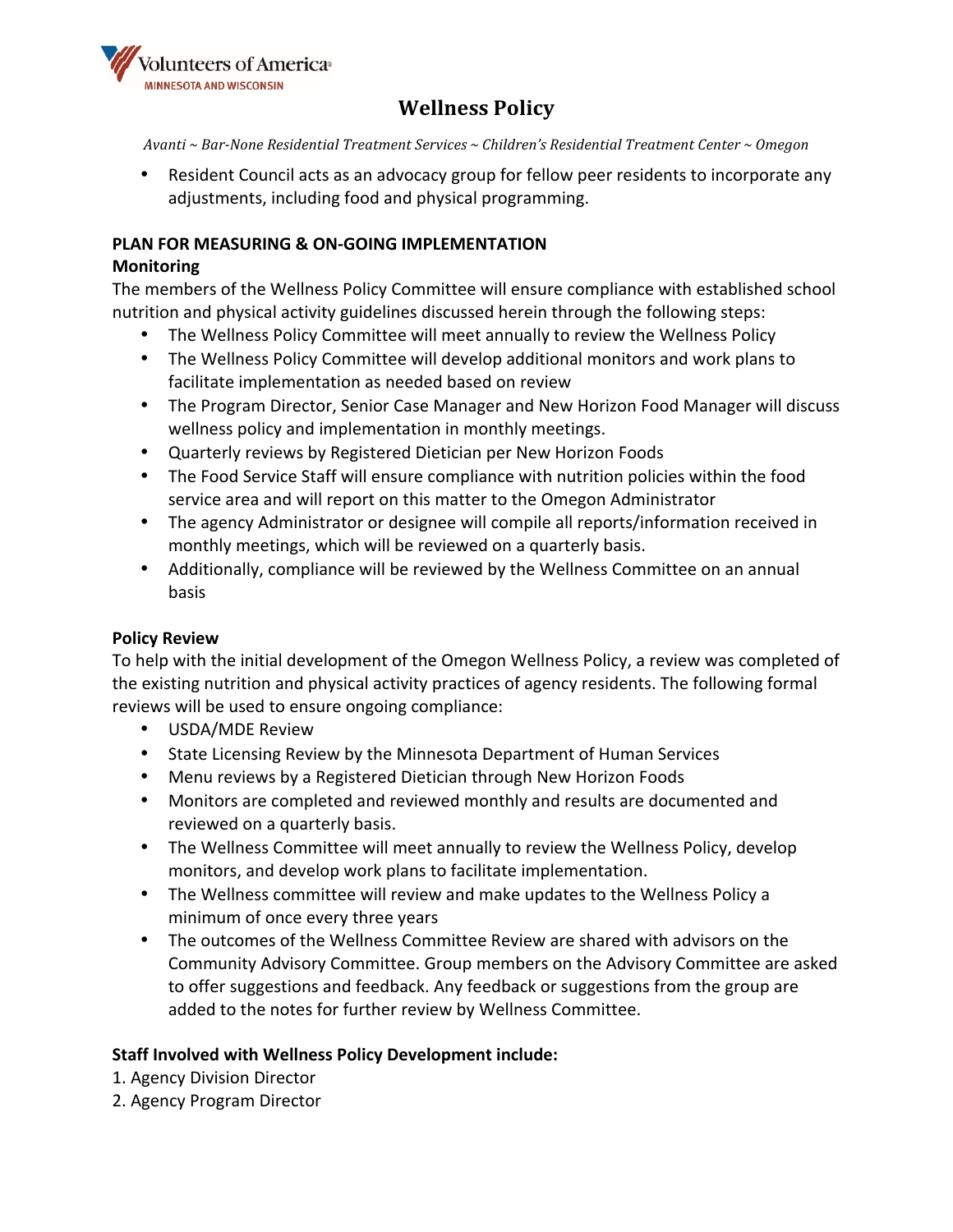

Avanti ~ Bar-None Residential Treatment Services ~ Children's Residential Treatment Center ~ Omegon

• Resident Council acts as an advocacy group for fellow peer residents to incorporate any adjustments, including food and physical programming.

### **PLAN FOR MEASURING & ON-GOING IMPLEMENTATION**

#### **Monitoring**

The members of the Wellness Policy Committee will ensure compliance with established school nutrition and physical activity guidelines discussed herein through the following steps:

- The Wellness Policy Committee will meet annually to review the Wellness Policy
- The Wellness Policy Committee will develop additional monitors and work plans to facilitate implementation as needed based on review
- The Program Director, Senior Case Manager and New Horizon Food Manager will discuss wellness policy and implementation in monthly meetings.
- Quarterly reviews by Registered Dietician per New Horizon Foods
- The Food Service Staff will ensure compliance with nutrition policies within the food service area and will report on this matter to the Omegon Administrator
- The agency Administrator or designee will compile all reports/information received in monthly meetings, which will be reviewed on a quarterly basis.
- Additionally, compliance will be reviewed by the Wellness Committee on an annual basis

### **Policy Review**

To help with the initial development of the Omegon Wellness Policy, a review was completed of the existing nutrition and physical activity practices of agency residents. The following formal reviews will be used to ensure ongoing compliance:

- USDA/MDE Review
- State Licensing Review by the Minnesota Department of Human Services
- Menu reviews by a Registered Dietician through New Horizon Foods
- Monitors are completed and reviewed monthly and results are documented and reviewed on a quarterly basis.
- The Wellness Committee will meet annually to review the Wellness Policy, develop monitors, and develop work plans to facilitate implementation.
- The Wellness committee will review and make updates to the Wellness Policy a minimum of once every three years
- The outcomes of the Wellness Committee Review are shared with advisors on the Community Advisory Committee. Group members on the Advisory Committee are asked to offer suggestions and feedback. Any feedback or suggestions from the group are added to the notes for further review by Wellness Committee.

#### **Staff Involved with Wellness Policy Development include:**

- 1. Agency Division Director
- 2. Agency Program Director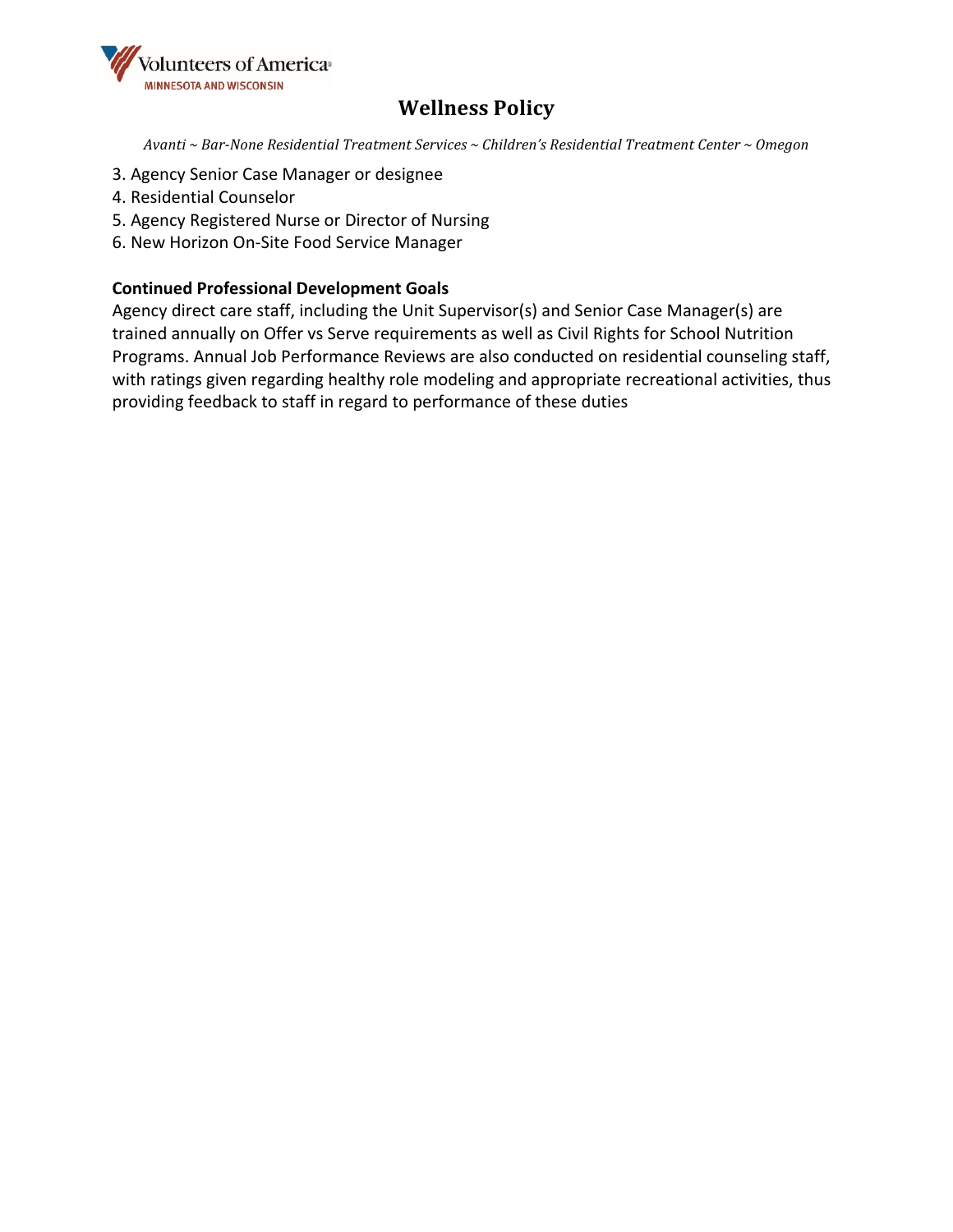

Avanti ~ Bar-None Residential Treatment Services ~ Children's Residential Treatment Center ~ Omegon

- 3. Agency Senior Case Manager or designee
- 4. Residential Counselor
- 5. Agency Registered Nurse or Director of Nursing
- 6. New Horizon On-Site Food Service Manager

### **Continued Professional Development Goals**

Agency direct care staff, including the Unit Supervisor(s) and Senior Case Manager(s) are trained annually on Offer vs Serve requirements as well as Civil Rights for School Nutrition Programs. Annual Job Performance Reviews are also conducted on residential counseling staff, with ratings given regarding healthy role modeling and appropriate recreational activities, thus providing feedback to staff in regard to performance of these duties